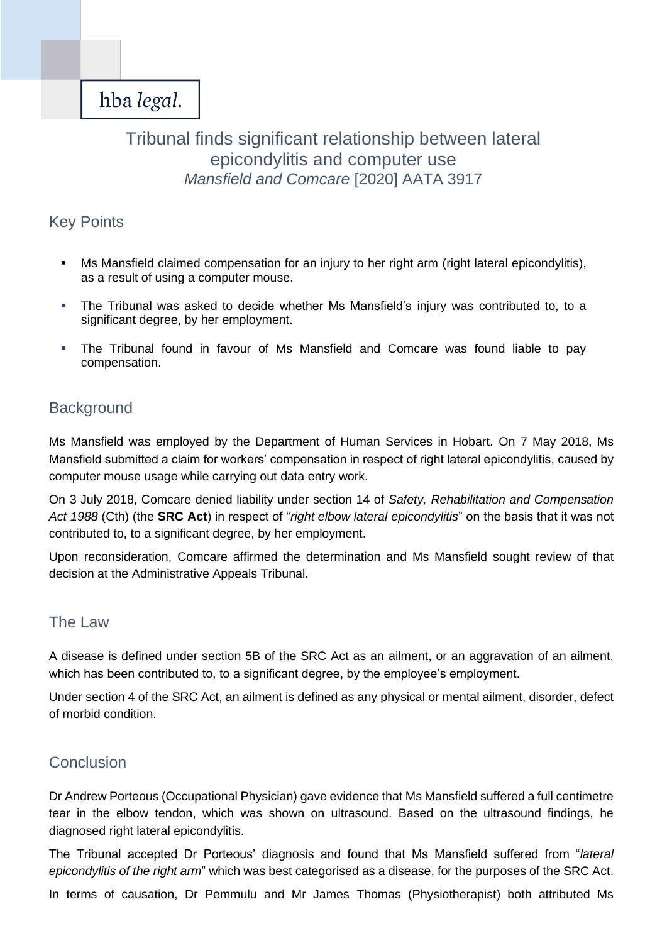# Tribunal finds significant relationship between lateral epicondylitis and computer use *Mansfield and Comcare* [2020] AATA 3917

## Key Points

- Ms Mansfield claimed compensation for an injury to her right arm (right lateral epicondylitis), as a result of using a computer mouse.
- The Tribunal was asked to decide whether Ms Mansfield's injury was contributed to, to a significant degree, by her employment.
- The Tribunal found in favour of Ms Mansfield and Comcare was found liable to pay compensation.

## **Background**

Ms Mansfield was employed by the Department of Human Services in Hobart. On 7 May 2018, Ms Mansfield submitted a claim for workers' compensation in respect of right lateral epicondylitis, caused by computer mouse usage while carrying out data entry work.

On 3 July 2018, Comcare denied liability under section 14 of *Safety, Rehabilitation and Compensation Act 1988* (Cth) (the **SRC Act**) in respect of "*right elbow lateral epicondylitis*" on the basis that it was not contributed to, to a significant degree, by her employment.

Upon reconsideration, Comcare affirmed the determination and Ms Mansfield sought review of that decision at the Administrative Appeals Tribunal.

## The Law

A disease is defined under section 5B of the SRC Act as an ailment, or an aggravation of an ailment, which has been contributed to, to a significant degree, by the employee's employment.

Under section 4 of the SRC Act, an ailment is defined as any physical or mental ailment, disorder, defect of morbid condition.

## **Conclusion**

Dr Andrew Porteous (Occupational Physician) gave evidence that Ms Mansfield suffered a full centimetre tear in the elbow tendon, which was shown on ultrasound. Based on the ultrasound findings, he diagnosed right lateral epicondylitis.

The Tribunal accepted Dr Porteous' diagnosis and found that Ms Mansfield suffered from "*lateral epicondylitis of the right arm*" which was best categorised as a disease, for the purposes of the SRC Act.

In terms of causation, Dr Pemmulu and Mr James Thomas (Physiotherapist) both attributed Ms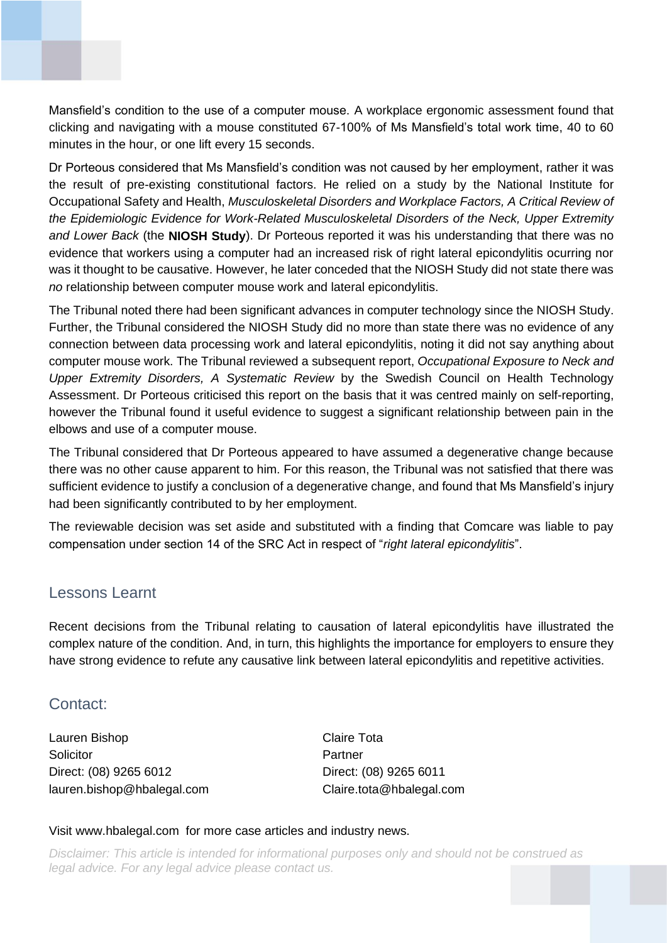Mansfield's condition to the use of a computer mouse. A workplace ergonomic assessment found that clicking and navigating with a mouse constituted 67-100% of Ms Mansfield's total work time, 40 to 60 minutes in the hour, or one lift every 15 seconds.

Dr Porteous considered that Ms Mansfield's condition was not caused by her employment, rather it was the result of pre-existing constitutional factors. He relied on a study by the National Institute for Occupational Safety and Health, *Musculoskeletal Disorders and Workplace Factors, A Critical Review of the Epidemiologic Evidence for Work-Related Musculoskeletal Disorders of the Neck, Upper Extremity and Lower Back* (the **NIOSH Study**). Dr Porteous reported it was his understanding that there was no evidence that workers using a computer had an increased risk of right lateral epicondylitis ocurring nor was it thought to be causative. However, he later conceded that the NIOSH Study did not state there was *no* relationship between computer mouse work and lateral epicondylitis.

The Tribunal noted there had been significant advances in computer technology since the NIOSH Study. Further, the Tribunal considered the NIOSH Study did no more than state there was no evidence of any connection between data processing work and lateral epicondylitis, noting it did not say anything about computer mouse work. The Tribunal reviewed a subsequent report, *Occupational Exposure to Neck and Upper Extremity Disorders, A Systematic Review* by the Swedish Council on Health Technology Assessment. Dr Porteous criticised this report on the basis that it was centred mainly on self-reporting, however the Tribunal found it useful evidence to suggest a significant relationship between pain in the elbows and use of a computer mouse.

The Tribunal considered that Dr Porteous appeared to have assumed a degenerative change because there was no other cause apparent to him. For this reason, the Tribunal was not satisfied that there was sufficient evidence to justify a conclusion of a degenerative change, and found that Ms Mansfield's injury had been significantly contributed to by her employment.

The reviewable decision was set aside and substituted with a finding that Comcare was liable to pay compensation under section 14 of the SRC Act in respect of "*right lateral epicondylitis*".

#### Lessons Learnt

Recent decisions from the Tribunal relating to causation of lateral epicondylitis have illustrated the complex nature of the condition. And, in turn, this highlights the importance for employers to ensure they have strong evidence to refute any causative link between lateral epicondylitis and repetitive activities.

#### Contact:

Lauren Bishop Claire Tota Solicitor **Partner** Direct: (08) 9265 6012 Direct: (08) 9265 6011 lauren.bishop@hbalegal.com Claire.tota@hbalegal.com

#### Visit www.hbalegal.com for more case articles and industry news.

*Disclaimer: This article is intended for informational purposes only and should not be construed as legal advice. For any legal advice please contact us.*